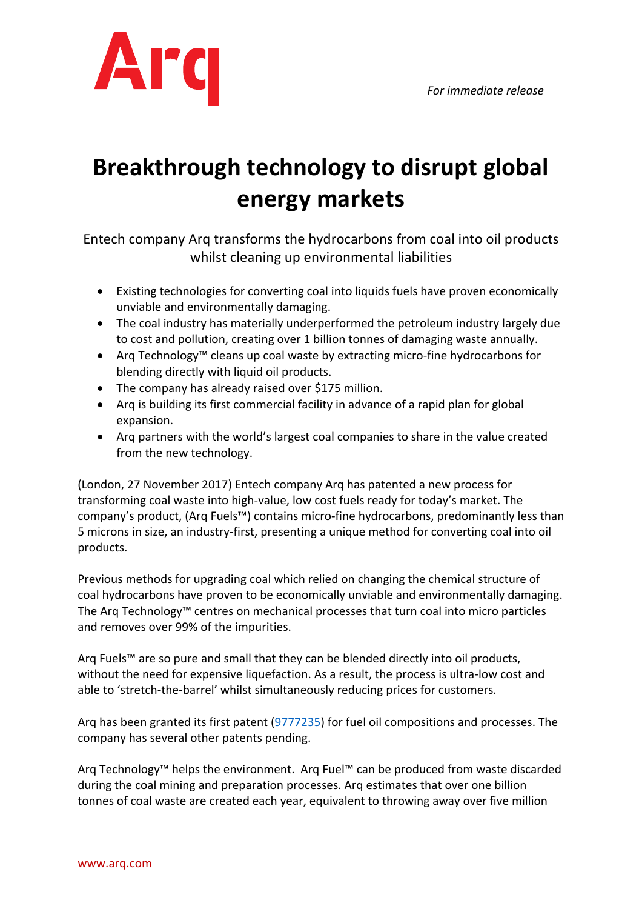

## **Breakthrough technology to disrupt global energy markets**

Entech company Arg transforms the hydrocarbons from coal into oil products whilst cleaning up environmental liabilities

- Existing technologies for converting coal into liquids fuels have proven economically unviable and environmentally damaging.
- The coal industry has materially underperformed the petroleum industry largely due to cost and pollution, creating over 1 billion tonnes of damaging waste annually.
- Arq Technology<sup>™</sup> cleans up coal waste by extracting micro-fine hydrocarbons for blending directly with liquid oil products.
- The company has already raised over \$175 million.
- Arq is building its first commercial facility in advance of a rapid plan for global expansion.
- Arq partners with the world's largest coal companies to share in the value created from the new technology.

(London, 27 November 2017) Entech company Arq has patented a new process for transforming coal waste into high-value, low cost fuels ready for today's market. The company's product, (Arg Fuels™) contains micro-fine hydrocarbons, predominantly less than 5 microns in size, an industry-first, presenting a unique method for converting coal into oil products.

Previous methods for upgrading coal which relied on changing the chemical structure of coal hydrocarbons have proven to be economically unviable and environmentally damaging. The Arg Technology<sup> $M$ </sup> centres on mechanical processes that turn coal into micro particles and removes over 99% of the impurities.

Arg Fuels<sup>™</sup> are so pure and small that they can be blended directly into oil products, without the need for expensive liquefaction. As a result, the process is ultra-low cost and able to 'stretch-the-barrel' whilst simultaneously reducing prices for customers.

Arq has been granted its first patent (9777235) for fuel oil compositions and processes. The company has several other patents pending.

Arg Technology<sup>™</sup> helps the environment. Arg Fuel™ can be produced from waste discarded during the coal mining and preparation processes. Arq estimates that over one billion tonnes of coal waste are created each year, equivalent to throwing away over five million